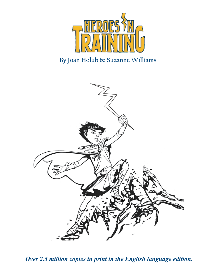

# **By Joan Holub & Suzanne Williams** Zeus: Hero in Training



*Over 2.5 million copies in print in the English language edition.*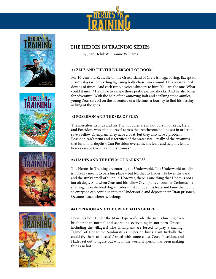









# **THE HEROES IN TRAINING SERIES**

by Joan Holub & Suzanne Williams

#### $\mathbf{F} = \mathbf{F} \mathbf{F}$  , life on the Greek is measured. Except for  $\mathbf{F} = \mathbf{F} \mathbf{F} \mathbf{F} \mathbf{F}$ #1 ZEUS AND THE THUNDERBOLT OF DOOM

For 10-year-old Zeus, life on the Greek island of Crete is mega boring. Except for ever to your ord EORS, are on the creational or create to mage comg. Enception dozens of times! And each time, a voice whispers to him: You are the one. What abound it mean? He'd like to escape those pesky electric shocks. And he also longs For adventure. With the help of the annoying Bolt and a talking stone amulet, as king of the gods. young Zeus sets off on the adventure of a lifetime: a journey to find his destiny

#### #2 POSEIDON AND THE SEA OF FURY  $\frac{1}{2}$  rous boiling the travel across the treatment search search search search search search search search search search search search search search search search search search search search search search search searc

The merciless Cronus and his Titan buddies are in hot pursuit of Zeus, Hera, and Poseidon, who plan to travel across the treacherous boiling sea in order to and I secretary. The Pain to that a bose the helion out coming see in start Poseidon can't swim and is terrified of the water (well, really of the creatures heroes escape Cronus and his cronies? that lurk in its depths). Can Poseidon overcome his fears and help his fellow

#### #3 HADES AND THE HELM OF DARKNESS  $\overline{a}$  , and the a function of bundle  $\overline{b}$

The Heroes in Training are entering the Underworld. The Underworld usually Fact account to be a function of the lower certain and certain means that in the second state. and the stinky smell of sulphur. However, there is one thing that Hades is not a so everyone can continue into the Underworld and deposit their Titan prisoner, fan of: dogs. And when Zeus and his fellow Olympians encounter Cerberus – a snarling, three-headed dog – Hades must conquer his fears and tame the hound Oceanus, back where he belongs! so everyone can continue into the Underworld and deposit their Titan prisoner,

#### $H$  is the phew independent the time of the sun is burning  $\alpha$  is burning  $\alpha$  is burning even in its burning even is burning that  $\alpha$ brighter than normal and scorching everything in northern Greece— **#4 HYPERION AND THE GREAT BALLS OF FIRE**

Hades set out to figure out why in the world Hyperion has been making things so hot. Phew, it's hot! Under the titan Hyperion's rule, the sun is burning even brighter than normal and scorching everything in northern Greece including the villagers! The Olympians are forced to play a sizzling Hades set out to figure out why in the world Hyperion has been making "game" of Dodge the Sunbursts as Hyperion hurls giant fireballs that could fry them to pieces! Armed with some clues, Zeus, Poseidon, and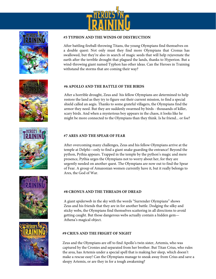











#### **THE HEROES IN TRAINING SERIES #5 TYPHON AND THE WINDS OF DESTRUCTION**

a double quest: Not only must they find more Olympians that Cronus has swallowed, but they're also in search of magic seeds that will help rejuvenate the earth after the terrible drought that plagued the lands, thanks to Hyperion. But a  $\frac{6}{10}$  in determing stant named Tymbon has athen ideas. Can the wind-throwing giant named Typhon has other ideas. Can the Heroes in Training withstand the storms that are coming their way? After battling fireball-throwing Titans, the young Olympians find themselves on

# **#6 APOLLO AND THE BATTLE OF THE BIRDS #6 APOLLO AND THE BATTLE OF THE BIRDS**

After a horrible drought, Zeus and his fellow Olympians are determined to help After a horrible drought, Zeus and his fellow Olympians are determined to help restore the land as they try to figure out their current mission, to find a special restore the land as they try to figure out their current mission, to find a special show the faint as they if y to significant thanks the oriental villages. shield called an aegis. Thanks to some grateful villagers, the Olympians find the armor they need. But they are suddenly swarmed by birds - thousands of killer, scary birds. And when a mysterious boy appears in the chaos, it looks like he might be more connected to the Olympians than they think. Is he friend... or foe?

#### #7 ARES AND THE SPEAR OF FEAR  $t$ , there are  $\theta$  indicated a given a given guarding the entry

After overcoming many challenges, Zeus and his fellow Olympians arrive at the temple at Delphi—only to find a giant snake guarding the entrance! Beyond the python, Pythia appears. Trapped in the temple by the python's magic and mere python, Fythia urges the Olympians not to worry about her, for they are presence, Pythia urges the Olympians not to worry about her, for they are Ares, the God of War. urgently needed on another quest. The Olympians are now out to find the Spear of Fear. A group of Amazonian women currently have it, but it really belongs to

#### $\#$  contriguting and the those angles of dangerous  $\alpha$ Athena's magical object. **#8 CRONUS AND THE THREADS OF DREAD**

Athena's magical object. Zeus and his friends that they are in for another battle. Dodging the silky and<br>sticky webs, the Olympians find themselves scattering in all directions to avoid getting caught. But those dangerous webs actually contain a hidden gem— **JOURN HOLUBAT HOLUBB**<br>A giant spiderweb in the sky with the words "Surrender Olympians" shows Zeus and his friends that they are in for another battle. Dodging the silky and

### **#9 CRIUS AND THE FRIGHT OF NIGHT**

captured by the Cronies and separated from her brother. But Titan Crius, who rules captured by the Cronics and separated resistence cronics and separated from her brother. the area, has Artemis under a special spell that is making her sleep, which doesn't the area, has Artemis under a special spell that is making her sleep, which doesn't make a rescue easy! Can the Olympians manage to sneak away from Crius and save a make a rescue easy! Can the Olympians manage to sneak away from Crius and save a sleepy Artemis, or are they in for a tough awakening? sleepy Artemis, or are they in for a tough awakening? Zeus and the Olympians are off to find Apollo's twin sister, Artemis, who was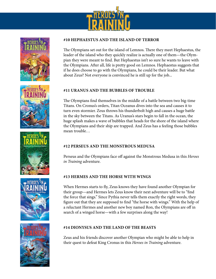











### **#10 HEPHAESTUS AND THE ISLAND OF TERROR**

leader of the island who they quickly realize is actually one of them—the Olym-Leader of the found who they quietly realize to actually one of the pian they were meant to find. But Hephaestus isn't so sure he wants to leave with the Olympians. After all, life is pretty good on Lemnos. Hephaestus suggests that if he does choose to go with the Olympians, he could be their leader. But what suggests that if  $\frac{1}{2}$  he does choose to go with the Olympians, he could be their about Zeus? Not everyone is convinced he is still up for the job... The Olympians set out for the island of Lemnos. There they meet Hephaestus, the reader of the island who they quickly realize is actually one of the suggests thouse to go with the Olympians, he could be their  $\frac{1}{2}$   $\frac{1}{2}$   $\frac{1}{2}$   $\frac{1}{2}$   $\frac{1}{2}$   $\frac{1}{2}$   $\frac{1}{2}$   $\frac{1}{2}$   $\frac{1}{2}$   $\frac{1}{2}$   $\frac{1}{2}$   $\frac{1}{2}$   $\frac{1}{2}$   $\frac{1}{2}$   $\frac{1}{2}$   $\frac{1}{2}$   $\frac{1}{2}$   $\frac{1}{2}$   $\frac{1}{2}$   $\frac{1}{2}$   $\frac{1}{2}$   $\frac{1}{2}$  Leader of the island who they quickly realize is actually one of t  $\frac{1}{2}$ If he does choose to go with the Olympians, he could be their

# **#11 URANUS AND THE BUBBLES OF TROUBLE #11 URANUS AND THE BUBBLES OF TROUBLE #11 URANUS AND THE BUBBLES OF TROUBLE #11 URANUS AND THE BUBBLES OF TROUBLE**

The Olympians find themselves in the middle of a battle between two big-time Titans. On Cronus's orders, Titan Oceanus dives into the sea and causes it to stormier.  $\frac{1}{2}$  the sky between  $\frac{1}{2}$  throws high and causes a huge battle in the sky between  $\frac{1}{2}$ trainst on cronato crack, Than countable are the the sea and causes it to in the sky between the Titans. As Uranus's stars begin to fall in the ocean, the huge splash makes a wave of bubbles that heads for the shore of the island where the Olympians and their ship are trapped. And Zeus has a feeling those bubbles mean trouble… turn even stormier. Zeus throws his thunderbolt high and cause status. On Cronuss orders, Than Oceanus dives mio the sea an

#### Perseus and the Olympians face off against the Monstrous Medusa in this Heroes in #12 PERSEUS AND THE MONSTROUS MEDUSA  $\mathbb{P}$  Perseus and  $\mathbb{P}$  and Monstrous Medusa in the Monstrous Medusa in the Monstrous Medusa in the Monstrous media in the Monstrous media in the Monstrous media in the Monster media in the Monster media in the Mons

Perseus and the Olympians face off against the Monstrous Medusa in this *Heroes in Training* adventure.

# **#13 Hermes and the Horse with Wings**

When Hermes starts to fly, Zeus knows they have found another Olympian for their group—and Hermes lets Zeus know their next adventure will be to "find the force that sings." Since Pythia never tells them exactly the right words, they figure out that they are supposed to find "the horse with wings." With the help of a reluctant Hermes and another new boy named Ron, the Olympians are off in search of a winged horse—with a few surprises along the way!

# **#14 DIONYSUS AND THE LAND OF THE BEASTS**

Zeus and his friends discover another Olympian who might be able to help in their quest to defeat King Cronus in this *Heroes in Training* adventure.